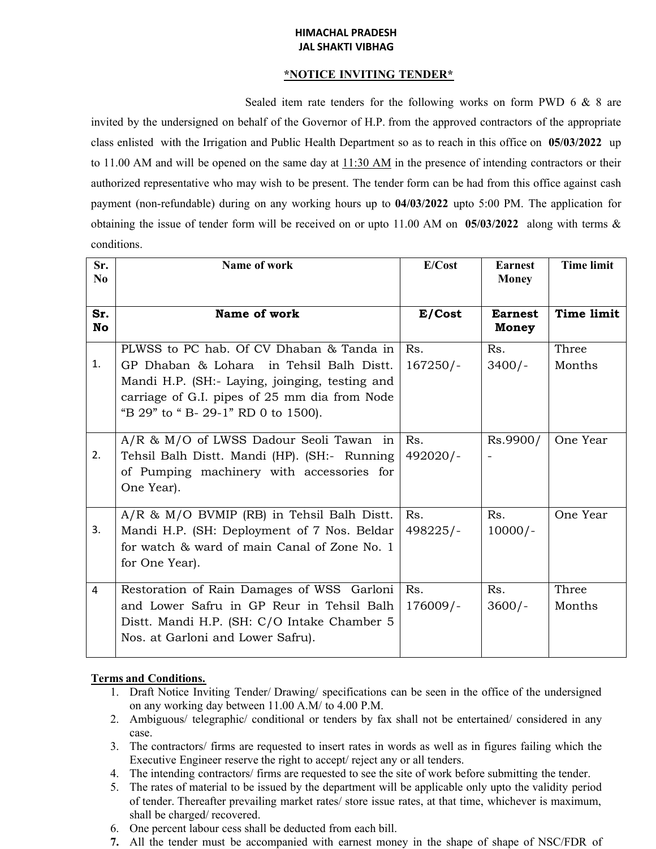## **HIMACHAL PRADESH JAL SHAKTI VIBHAG**

## **\*NOTICE INVITING TENDER\***

Sealed item rate tenders for the following works on form PWD 6 & 8 are invited by the undersigned on behalf of the Governor of H.P. from the approved contractors of the appropriate class enlisted with the Irrigation and Public Health Department so as to reach in this office on **05/03/2022** up to 11.00 AM and will be opened on the same day at  $11:30$  AM in the presence of intending contractors or their authorized representative who may wish to be present. The tender form can be had from this office against cash payment (non-refundable) during on any working hours up to **04/03/2022** upto 5:00 PM. The application for obtaining the issue of tender form will be received on or upto 11.00 AM on **05/03/2022** along with terms & conditions.

| Sr.<br>N <sub>0</sub> | Name of work                                                                                                                                                                                                                  | E/Cost            | <b>Earnest</b><br><b>Money</b> | <b>Time limit</b> |
|-----------------------|-------------------------------------------------------------------------------------------------------------------------------------------------------------------------------------------------------------------------------|-------------------|--------------------------------|-------------------|
| Sr.<br>No             | Name of work                                                                                                                                                                                                                  | E/Cost            | <b>Earnest</b><br>Money        | <b>Time limit</b> |
| 1.                    | PLWSS to PC hab. Of CV Dhaban & Tanda in<br>GP Dhaban & Lohara in Tehsil Balh Distt.<br>Mandi H.P. (SH: Laying, joinging, testing and<br>carriage of G.I. pipes of 25 mm dia from Node<br>"B 29" to " B- 29-1" RD 0 to 1500). | Rs.<br>$167250/-$ | Rs.<br>$3400/-$                | Three<br>Months   |
| 2.                    | A/R & M/O of LWSS Dadour Seoli Tawan in<br>Tehsil Balh Distt. Mandi (HP). (SH:- Running<br>of Pumping machinery with accessories for<br>One Year).                                                                            | Rs.<br>492020/-   | Rs.9900/                       | One Year          |
| 3.                    | $A/R$ & $M/O$ BVMIP (RB) in Tehsil Balh Distt.<br>Mandi H.P. (SH: Deployment of 7 Nos. Beldar<br>for watch & ward of main Canal of Zone No. 1<br>for One Year).                                                               | Rs.<br>498225/-   | Rs.<br>$10000/-$               | One Year          |
| 4                     | Restoration of Rain Damages of WSS Garloni<br>and Lower Safru in GP Reur in Tehsil Balh<br>Distt. Mandi H.P. (SH: C/O Intake Chamber 5<br>Nos. at Garloni and Lower Safru).                                                   | Rs.<br>$176009/-$ | Rs.<br>$3600/-$                | Three<br>Months   |

## **Terms and Conditions.**

- 1. Draft Notice Inviting Tender/ Drawing/ specifications can be seen in the office of the undersigned on any working day between 11.00 A.M/ to 4.00 P.M.
- 2. Ambiguous/ telegraphic/ conditional or tenders by fax shall not be entertained/ considered in any case.
- 3. The contractors/ firms are requested to insert rates in words as well as in figures failing which the Executive Engineer reserve the right to accept/ reject any or all tenders.
- 4. The intending contractors/ firms are requested to see the site of work before submitting the tender.
- 5. The rates of material to be issued by the department will be applicable only upto the validity period of tender. Thereafter prevailing market rates/ store issue rates, at that time, whichever is maximum, shall be charged/ recovered.
- 6. One percent labour cess shall be deducted from each bill.
- **7.** All the tender must be accompanied with earnest money in the shape of shape of NSC/FDR of